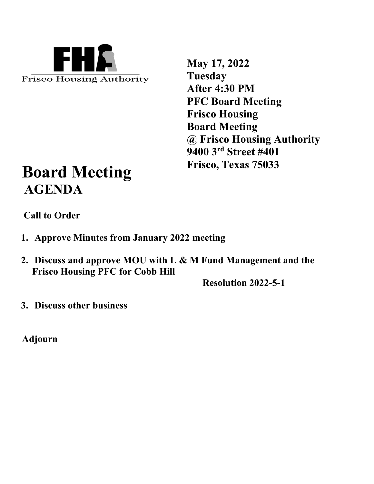

**May 17, 2022 Tuesday After 4:30 PM PFC Board Meeting Frisco Housing Board Meeting @ Frisco Housing Authority 9400 3rd Street #401 Frisco, Texas 75033**

# **Board Meeting AGENDA**

 **Call to Order**

- **1. Approve Minutes from January 2022 meeting**
- **2. Discuss and approve MOU with L & M Fund Management and the Frisco Housing PFC for Cobb Hill**

**Resolution 2022-5-1** 

**3. Discuss other business**

**Adjourn**